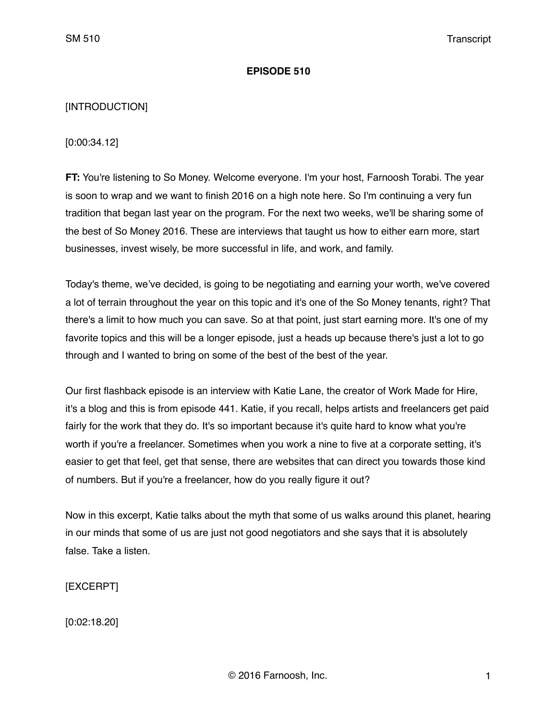#### **EPISODE 510**

## [INTRODUCTION]

[0:00:34.12]

**FT:** You're listening to So Money. Welcome everyone. I'm your host, Farnoosh Torabi. The year is soon to wrap and we want to finish 2016 on a high note here. So I'm continuing a very fun tradition that began last year on the program. For the next two weeks, we'll be sharing some of the best of So Money 2016. These are interviews that taught us how to either earn more, start businesses, invest wisely, be more successful in life, and work, and family.

Today's theme, we've decided, is going to be negotiating and earning your worth, we've covered a lot of terrain throughout the year on this topic and it's one of the So Money tenants, right? That there's a limit to how much you can save. So at that point, just start earning more. It's one of my favorite topics and this will be a longer episode, just a heads up because there's just a lot to go through and I wanted to bring on some of the best of the best of the year.

Our first flashback episode is an interview with Katie Lane, the creator of Work Made for Hire, it's a blog and this is from episode 441. Katie, if you recall, helps artists and freelancers get paid fairly for the work that they do. It's so important because it's quite hard to know what you're worth if you're a freelancer. Sometimes when you work a nine to five at a corporate setting, it's easier to get that feel, get that sense, there are websites that can direct you towards those kind of numbers. But if you're a freelancer, how do you really figure it out?

Now in this excerpt, Katie talks about the myth that some of us walks around this planet, hearing in our minds that some of us are just not good negotiators and she says that it is absolutely false. Take a listen.

[EXCERPT]

[0:02:18.20]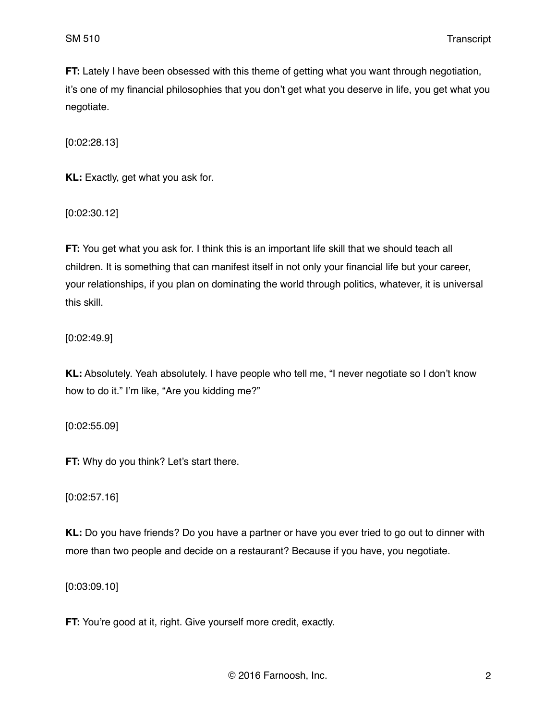**FT:** Lately I have been obsessed with this theme of getting what you want through negotiation, it's one of my financial philosophies that you don't get what you deserve in life, you get what you negotiate.

[0:02:28.13]

**KL:** Exactly, get what you ask for.

[0:02:30.12]

**FT:** You get what you ask for. I think this is an important life skill that we should teach all children. It is something that can manifest itself in not only your financial life but your career, your relationships, if you plan on dominating the world through politics, whatever, it is universal this skill.

[0:02:49.9]

**KL:** Absolutely. Yeah absolutely. I have people who tell me, "I never negotiate so I don't know how to do it." I'm like, "Are you kidding me?"

[0:02:55.09]

**FT:** Why do you think? Let's start there.

[0:02:57.16]

**KL:** Do you have friends? Do you have a partner or have you ever tried to go out to dinner with more than two people and decide on a restaurant? Because if you have, you negotiate.

[0:03:09.10]

**FT:** You're good at it, right. Give yourself more credit, exactly.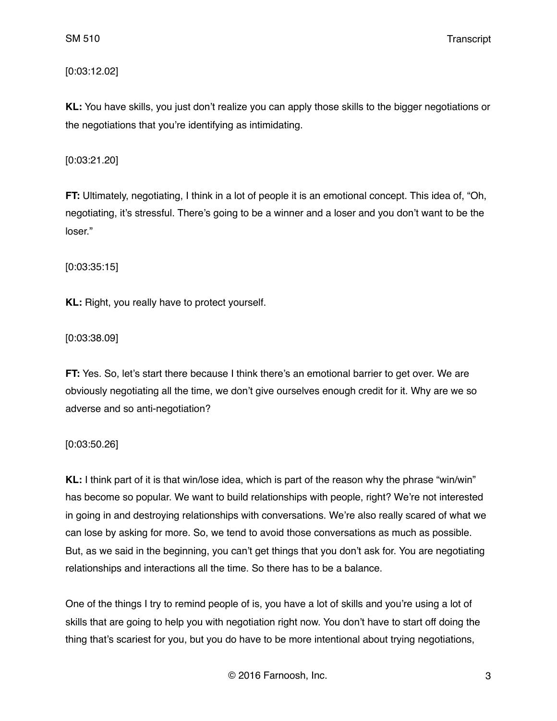[0:03:12.02]

**KL:** You have skills, you just don't realize you can apply those skills to the bigger negotiations or the negotiations that you're identifying as intimidating.

[0:03:21.20]

**FT:** Ultimately, negotiating, I think in a lot of people it is an emotional concept. This idea of, "Oh, negotiating, it's stressful. There's going to be a winner and a loser and you don't want to be the loser."

[0:03:35:15]

**KL:** Right, you really have to protect yourself.

[0:03:38.09]

**FT:** Yes. So, let's start there because I think there's an emotional barrier to get over. We are obviously negotiating all the time, we don't give ourselves enough credit for it. Why are we so adverse and so anti-negotiation?

[0:03:50.26]

**KL:** I think part of it is that win/lose idea, which is part of the reason why the phrase "win/win" has become so popular. We want to build relationships with people, right? We're not interested in going in and destroying relationships with conversations. We're also really scared of what we can lose by asking for more. So, we tend to avoid those conversations as much as possible. But, as we said in the beginning, you can't get things that you don't ask for. You are negotiating relationships and interactions all the time. So there has to be a balance.

One of the things I try to remind people of is, you have a lot of skills and you're using a lot of skills that are going to help you with negotiation right now. You don't have to start off doing the thing that's scariest for you, but you do have to be more intentional about trying negotiations,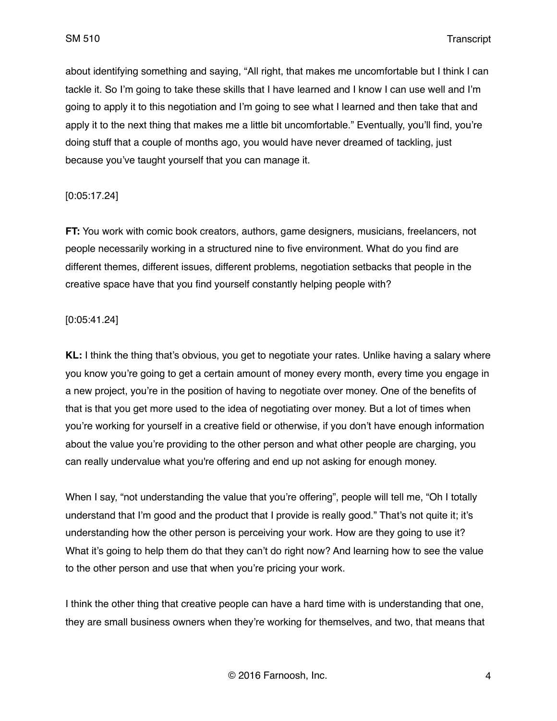about identifying something and saying, "All right, that makes me uncomfortable but I think I can tackle it. So I'm going to take these skills that I have learned and I know I can use well and I'm going to apply it to this negotiation and I'm going to see what I learned and then take that and apply it to the next thing that makes me a little bit uncomfortable." Eventually, you'll find, you're doing stuff that a couple of months ago, you would have never dreamed of tackling, just because you've taught yourself that you can manage it.

## [0:05:17.24]

**FT:** You work with comic book creators, authors, game designers, musicians, freelancers, not people necessarily working in a structured nine to five environment. What do you find are different themes, different issues, different problems, negotiation setbacks that people in the creative space have that you find yourself constantly helping people with?

## [0:05:41.24]

**KL:** I think the thing that's obvious, you get to negotiate your rates. Unlike having a salary where you know you're going to get a certain amount of money every month, every time you engage in a new project, you're in the position of having to negotiate over money. One of the benefits of that is that you get more used to the idea of negotiating over money. But a lot of times when you're working for yourself in a creative field or otherwise, if you don't have enough information about the value you're providing to the other person and what other people are charging, you can really undervalue what you're offering and end up not asking for enough money.

When I say, "not understanding the value that you're offering", people will tell me, "Oh I totally understand that I'm good and the product that I provide is really good." That's not quite it; it's understanding how the other person is perceiving your work. How are they going to use it? What it's going to help them do that they can't do right now? And learning how to see the value to the other person and use that when you're pricing your work.

I think the other thing that creative people can have a hard time with is understanding that one, they are small business owners when they're working for themselves, and two, that means that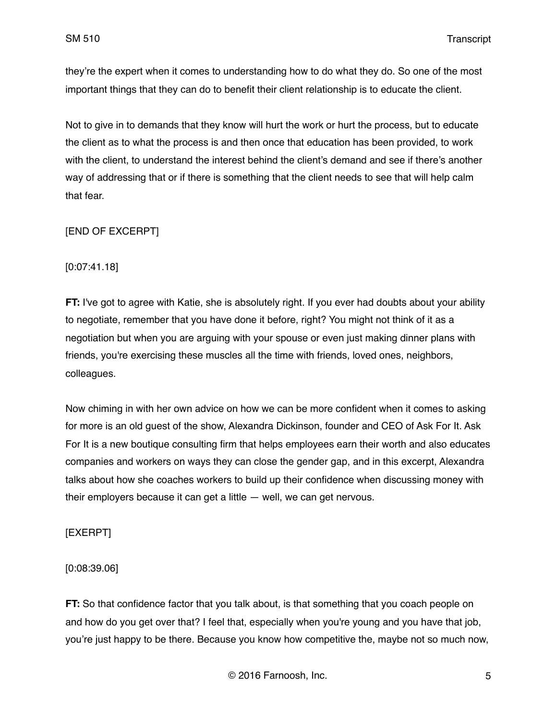they're the expert when it comes to understanding how to do what they do. So one of the most important things that they can do to benefit their client relationship is to educate the client.

Not to give in to demands that they know will hurt the work or hurt the process, but to educate the client as to what the process is and then once that education has been provided, to work with the client, to understand the interest behind the client's demand and see if there's another way of addressing that or if there is something that the client needs to see that will help calm that fear.

# [END OF EXCERPT]

[0:07:41.18]

**FT:** I've got to agree with Katie, she is absolutely right. If you ever had doubts about your ability to negotiate, remember that you have done it before, right? You might not think of it as a negotiation but when you are arguing with your spouse or even just making dinner plans with friends, you're exercising these muscles all the time with friends, loved ones, neighbors, colleagues.

Now chiming in with her own advice on how we can be more confident when it comes to asking for more is an old guest of the show, Alexandra Dickinson, founder and CEO of Ask For It. Ask For It is a new boutique consulting firm that helps employees earn their worth and also educates companies and workers on ways they can close the gender gap, and in this excerpt, Alexandra talks about how she coaches workers to build up their confidence when discussing money with their employers because it can get a little — well, we can get nervous.

## [EXERPT]

## [0:08:39.06]

**FT:** So that confidence factor that you talk about, is that something that you coach people on and how do you get over that? I feel that, especially when you're young and you have that job, you're just happy to be there. Because you know how competitive the, maybe not so much now,

© 2016 Farnoosh, Inc. 5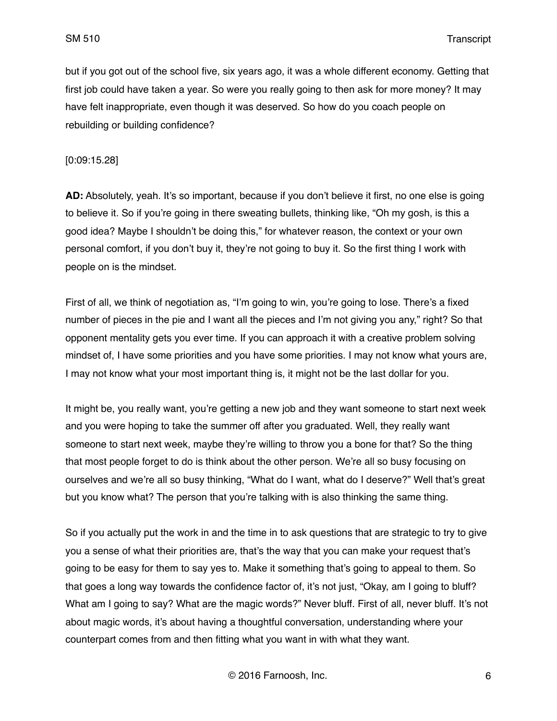but if you got out of the school five, six years ago, it was a whole different economy. Getting that first job could have taken a year. So were you really going to then ask for more money? It may have felt inappropriate, even though it was deserved. So how do you coach people on rebuilding or building confidence?

[0:09:15.28]

**AD:** Absolutely, yeah. It's so important, because if you don't believe it first, no one else is going to believe it. So if you're going in there sweating bullets, thinking like, "Oh my gosh, is this a good idea? Maybe I shouldn't be doing this," for whatever reason, the context or your own personal comfort, if you don't buy it, they're not going to buy it. So the first thing I work with people on is the mindset.

First of all, we think of negotiation as, "I'm going to win, you're going to lose. There's a fixed number of pieces in the pie and I want all the pieces and I'm not giving you any," right? So that opponent mentality gets you ever time. If you can approach it with a creative problem solving mindset of, I have some priorities and you have some priorities. I may not know what yours are, I may not know what your most important thing is, it might not be the last dollar for you.

It might be, you really want, you're getting a new job and they want someone to start next week and you were hoping to take the summer off after you graduated. Well, they really want someone to start next week, maybe they're willing to throw you a bone for that? So the thing that most people forget to do is think about the other person. We're all so busy focusing on ourselves and we're all so busy thinking, "What do I want, what do I deserve?" Well that's great but you know what? The person that you're talking with is also thinking the same thing.

So if you actually put the work in and the time in to ask questions that are strategic to try to give you a sense of what their priorities are, that's the way that you can make your request that's going to be easy for them to say yes to. Make it something that's going to appeal to them. So that goes a long way towards the confidence factor of, it's not just, "Okay, am I going to bluff? What am I going to say? What are the magic words?" Never bluff. First of all, never bluff. It's not about magic words, it's about having a thoughtful conversation, understanding where your counterpart comes from and then fitting what you want in with what they want.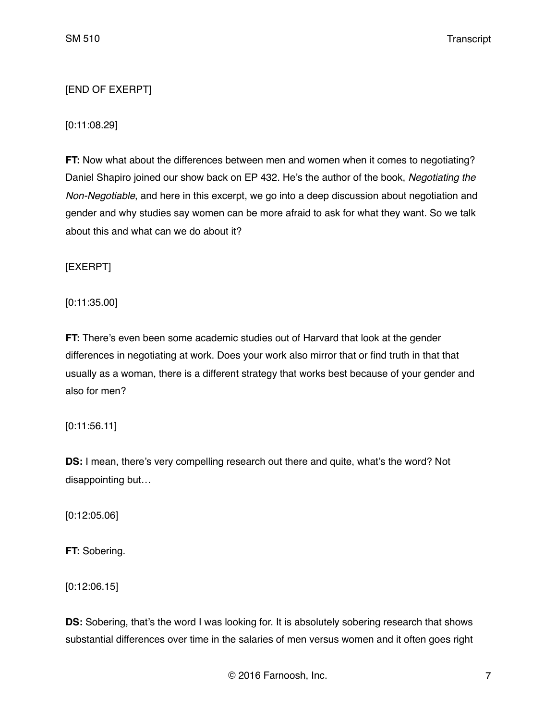# [END OF EXERPT]

## [0:11:08.29]

**FT:** Now what about the differences between men and women when it comes to negotiating? Daniel Shapiro joined our show back on EP 432. He's the author of the book, *Negotiating the Non-Negotiable*, and here in this excerpt, we go into a deep discussion about negotiation and gender and why studies say women can be more afraid to ask for what they want. So we talk about this and what can we do about it?

[EXERPT]

[0:11:35.00]

**FT:** There's even been some academic studies out of Harvard that look at the gender differences in negotiating at work. Does your work also mirror that or find truth in that that usually as a woman, there is a different strategy that works best because of your gender and also for men?

## [0:11:56.11]

**DS:** I mean, there's very compelling research out there and quite, what's the word? Not disappointing but…

[0:12:05.06]

**FT:** Sobering.

[0:12:06.15]

**DS:** Sobering, that's the word I was looking for. It is absolutely sobering research that shows substantial differences over time in the salaries of men versus women and it often goes right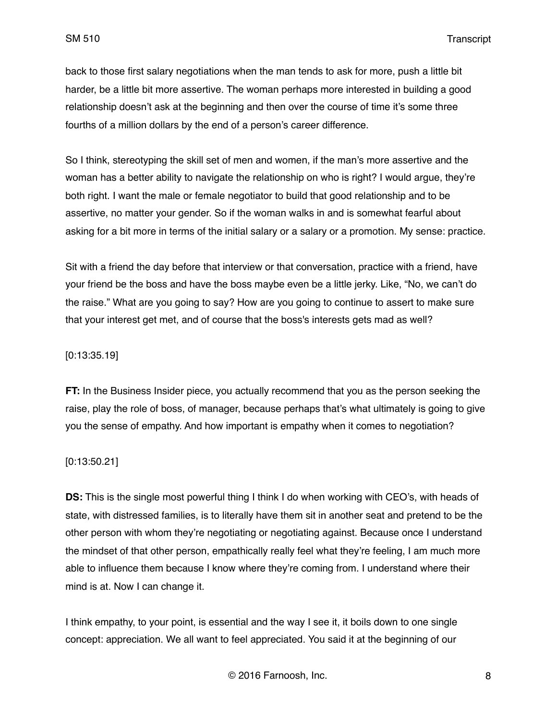back to those first salary negotiations when the man tends to ask for more, push a little bit harder, be a little bit more assertive. The woman perhaps more interested in building a good relationship doesn't ask at the beginning and then over the course of time it's some three fourths of a million dollars by the end of a person's career difference.

So I think, stereotyping the skill set of men and women, if the man's more assertive and the woman has a better ability to navigate the relationship on who is right? I would argue, they're both right. I want the male or female negotiator to build that good relationship and to be assertive, no matter your gender. So if the woman walks in and is somewhat fearful about asking for a bit more in terms of the initial salary or a salary or a promotion. My sense: practice.

Sit with a friend the day before that interview or that conversation, practice with a friend, have your friend be the boss and have the boss maybe even be a little jerky. Like, "No, we can't do the raise." What are you going to say? How are you going to continue to assert to make sure that your interest get met, and of course that the boss's interests gets mad as well?

## [0:13:35.19]

**FT:** In the Business Insider piece, you actually recommend that you as the person seeking the raise, play the role of boss, of manager, because perhaps that's what ultimately is going to give you the sense of empathy. And how important is empathy when it comes to negotiation?

#### [0:13:50.21]

**DS:** This is the single most powerful thing I think I do when working with CEO's, with heads of state, with distressed families, is to literally have them sit in another seat and pretend to be the other person with whom they're negotiating or negotiating against. Because once I understand the mindset of that other person, empathically really feel what they're feeling, I am much more able to influence them because I know where they're coming from. I understand where their mind is at. Now I can change it.

I think empathy, to your point, is essential and the way I see it, it boils down to one single concept: appreciation. We all want to feel appreciated. You said it at the beginning of our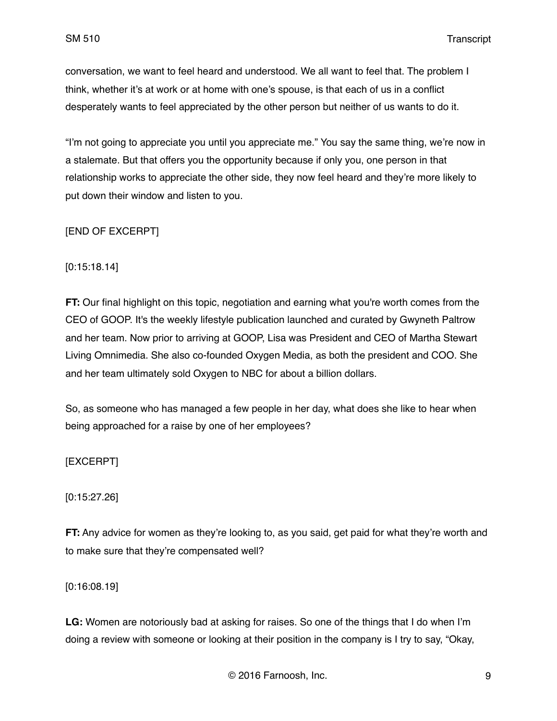conversation, we want to feel heard and understood. We all want to feel that. The problem I think, whether it's at work or at home with one's spouse, is that each of us in a conflict desperately wants to feel appreciated by the other person but neither of us wants to do it.

"I'm not going to appreciate you until you appreciate me." You say the same thing, we're now in a stalemate. But that offers you the opportunity because if only you, one person in that relationship works to appreciate the other side, they now feel heard and they're more likely to put down their window and listen to you.

## [END OF EXCERPT]

[0:15:18.14]

**FT:** Our final highlight on this topic, negotiation and earning what you're worth comes from the CEO of GOOP. It's the weekly lifestyle publication launched and curated by Gwyneth Paltrow and her team. Now prior to arriving at GOOP, Lisa was President and CEO of Martha Stewart Living Omnimedia. She also co-founded Oxygen Media, as both the president and COO. She and her team ultimately sold Oxygen to NBC for about a billion dollars.

So, as someone who has managed a few people in her day, what does she like to hear when being approached for a raise by one of her employees?

[EXCERPT]

[0:15:27.26]

**FT:** Any advice for women as they're looking to, as you said, get paid for what they're worth and to make sure that they're compensated well?

[0:16:08.19]

**LG:** Women are notoriously bad at asking for raises. So one of the things that I do when I'm doing a review with someone or looking at their position in the company is I try to say, "Okay,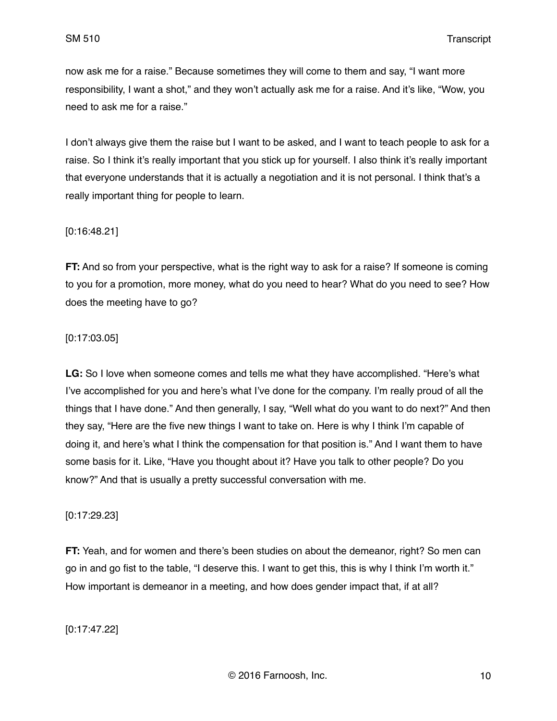now ask me for a raise." Because sometimes they will come to them and say, "I want more responsibility, I want a shot," and they won't actually ask me for a raise. And it's like, "Wow, you need to ask me for a raise."

I don't always give them the raise but I want to be asked, and I want to teach people to ask for a raise. So I think it's really important that you stick up for yourself. I also think it's really important that everyone understands that it is actually a negotiation and it is not personal. I think that's a really important thing for people to learn.

## [0:16:48.21]

**FT:** And so from your perspective, what is the right way to ask for a raise? If someone is coming to you for a promotion, more money, what do you need to hear? What do you need to see? How does the meeting have to go?

## [0:17:03.05]

**LG:** So I love when someone comes and tells me what they have accomplished. "Here's what I've accomplished for you and here's what I've done for the company. I'm really proud of all the things that I have done." And then generally, I say, "Well what do you want to do next?" And then they say, "Here are the five new things I want to take on. Here is why I think I'm capable of doing it, and here's what I think the compensation for that position is." And I want them to have some basis for it. Like, "Have you thought about it? Have you talk to other people? Do you know?" And that is usually a pretty successful conversation with me.

## [0:17:29.23]

**FT:** Yeah, and for women and there's been studies on about the demeanor, right? So men can go in and go fist to the table, "I deserve this. I want to get this, this is why I think I'm worth it." How important is demeanor in a meeting, and how does gender impact that, if at all?

## [0:17:47.22]